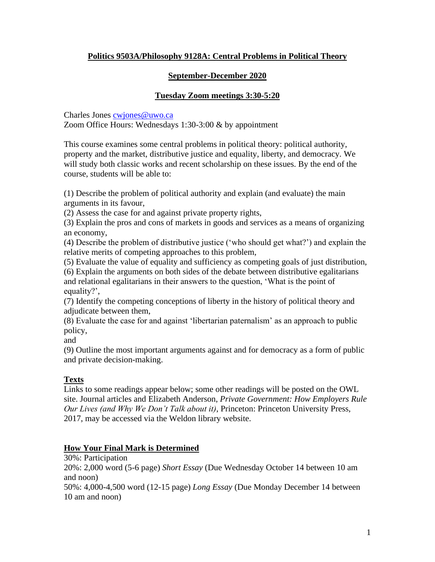# **Politics 9503A/Philosophy 9128A: Central Problems in Political Theory**

# **September-December 2020**

# **Tuesday Zoom meetings 3:30-5:20**

Charles Jones [cwjones@uwo.ca](mailto:cwjones@uwo.ca) Zoom Office Hours: Wednesdays 1:30-3:00 & by appointment

This course examines some central problems in political theory: political authority, property and the market, distributive justice and equality, liberty, and democracy. We will study both classic works and recent scholarship on these issues. By the end of the course, students will be able to:

(1) Describe the problem of political authority and explain (and evaluate) the main arguments in its favour,

(2) Assess the case for and against private property rights,

(3) Explain the pros and cons of markets in goods and services as a means of organizing an economy,

(4) Describe the problem of distributive justice ('who should get what?') and explain the relative merits of competing approaches to this problem,

(5) Evaluate the value of equality and sufficiency as competing goals of just distribution,

(6) Explain the arguments on both sides of the debate between distributive egalitarians and relational egalitarians in their answers to the question, 'What is the point of equality?',

(7) Identify the competing conceptions of liberty in the history of political theory and adjudicate between them,

(8) Evaluate the case for and against 'libertarian paternalism' as an approach to public policy,

and

(9) Outline the most important arguments against and for democracy as a form of public and private decision-making.

# **Texts**

Links to some readings appear below; some other readings will be posted on the OWL site. Journal articles and Elizabeth Anderson, *Private Government: How Employers Rule Our Lives (and Why We Don't Talk about it)*, Princeton: Princeton University Press, 2017, may be accessed via the Weldon library website.

# **How Your Final Mark is Determined**

30%: Participation

20%: 2,000 word (5-6 page) *Short Essay* (Due Wednesday October 14 between 10 am and noon)

50%: 4,000-4,500 word (12-15 page) *Long Essay* (Due Monday December 14 between 10 am and noon)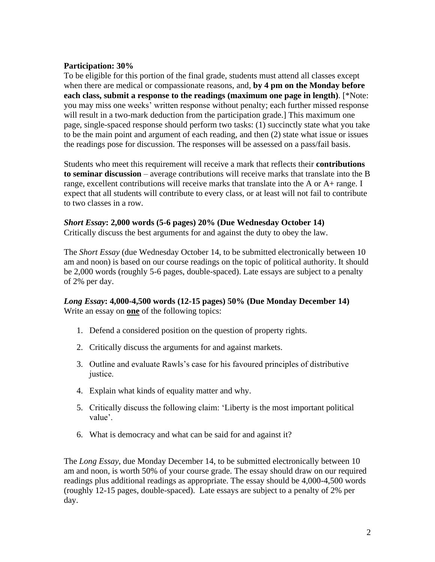# **Participation: 30%**

To be eligible for this portion of the final grade, students must attend all classes except when there are medical or compassionate reasons, and, **by 4 pm on the Monday before each class, submit a response to the readings (maximum one page in length)**. [\*Note: you may miss one weeks' written response without penalty; each further missed response will result in a two-mark deduction from the participation grade.] This maximum one page, single-spaced response should perform two tasks: (1) succinctly state what you take to be the main point and argument of each reading, and then (2) state what issue or issues the readings pose for discussion. The responses will be assessed on a pass/fail basis.

Students who meet this requirement will receive a mark that reflects their **contributions to seminar discussion** – average contributions will receive marks that translate into the B range, excellent contributions will receive marks that translate into the A or A+ range. I expect that all students will contribute to every class, or at least will not fail to contribute to two classes in a row.

# *Short Essay***: 2,000 words (5-6 pages) 20% (Due Wednesday October 14)**

Critically discuss the best arguments for and against the duty to obey the law.

The *Short Essay* (due Wednesday October 14, to be submitted electronically between 10 am and noon) is based on our course readings on the topic of political authority. It should be 2,000 words (roughly 5-6 pages, double-spaced). Late essays are subject to a penalty of 2% per day.

# *Long Essay***: 4,000-4,500 words (12-15 pages) 50% (Due Monday December 14)** Write an essay on **one** of the following topics:

- 1. Defend a considered position on the question of property rights.
- 2. Critically discuss the arguments for and against markets.
- 3. Outline and evaluate Rawls's case for his favoured principles of distributive justice.
- 4. Explain what kinds of equality matter and why.
- 5. Critically discuss the following claim: 'Liberty is the most important political value'.
- 6. What is democracy and what can be said for and against it?

The *Long Essay*, due Monday December 14, to be submitted electronically between 10 am and noon, is worth 50% of your course grade. The essay should draw on our required readings plus additional readings as appropriate. The essay should be 4,000-4,500 words (roughly 12-15 pages, double-spaced). Late essays are subject to a penalty of 2% per day.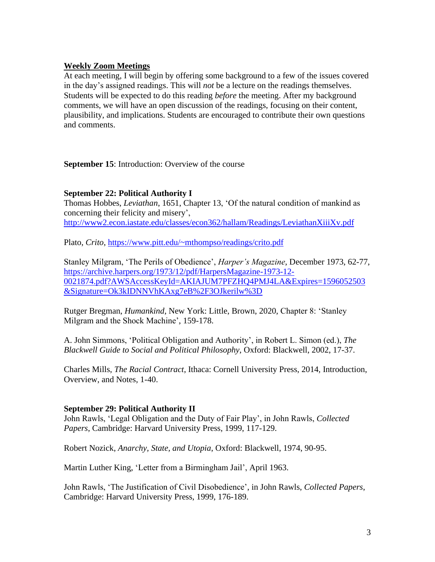## **Weekly Zoom Meetings**

At each meeting, I will begin by offering some background to a few of the issues covered in the day's assigned readings. This will *not* be a lecture on the readings themselves. Students will be expected to do this reading *before* the meeting. After my background comments, we will have an open discussion of the readings, focusing on their content, plausibility, and implications. Students are encouraged to contribute their own questions and comments.

**September 15**: Introduction: Overview of the course

### **September 22: Political Authority I**

Thomas Hobbes, *Leviathan*, 1651, Chapter 13, 'Of the natural condition of mankind as concerning their felicity and misery', <http://www2.econ.iastate.edu/classes/econ362/hallam/Readings/LeviathanXiiiXv.pdf>

Plato, *Crito*,<https://www.pitt.edu/~mthompso/readings/crito.pdf>

Stanley Milgram, 'The Perils of Obedience', *Harper's Magazine*, December 1973, 62-77, [https://archive.harpers.org/1973/12/pdf/HarpersMagazine-1973-12-](https://archive.harpers.org/1973/12/pdf/HarpersMagazine-1973-12-0021874.pdf?AWSAccessKeyId=AKIAJUM7PFZHQ4PMJ4LA&Expires=1596052503&Signature=Ok3kIDNNVhKAxg7eB%2F3OJkerilw%3D) [0021874.pdf?AWSAccessKeyId=AKIAJUM7PFZHQ4PMJ4LA&Expires=1596052503](https://archive.harpers.org/1973/12/pdf/HarpersMagazine-1973-12-0021874.pdf?AWSAccessKeyId=AKIAJUM7PFZHQ4PMJ4LA&Expires=1596052503&Signature=Ok3kIDNNVhKAxg7eB%2F3OJkerilw%3D) [&Signature=Ok3kIDNNVhKAxg7eB%2F3OJkerilw%3D](https://archive.harpers.org/1973/12/pdf/HarpersMagazine-1973-12-0021874.pdf?AWSAccessKeyId=AKIAJUM7PFZHQ4PMJ4LA&Expires=1596052503&Signature=Ok3kIDNNVhKAxg7eB%2F3OJkerilw%3D)

Rutger Bregman, *Humankind*, New York: Little, Brown, 2020, Chapter 8: 'Stanley Milgram and the Shock Machine', 159-178.

A. John Simmons, 'Political Obligation and Authority', in Robert L. Simon (ed.), *The Blackwell Guide to Social and Political Philosophy*, Oxford: Blackwell, 2002, 17-37.

Charles Mills, *The Racial Contract*, Ithaca: Cornell University Press, 2014, Introduction, Overview, and Notes, 1-40.

### **September 29: Political Authority II**

John Rawls, 'Legal Obligation and the Duty of Fair Play', in John Rawls, *Collected Papers*, Cambridge: Harvard University Press, 1999, 117-129.

Robert Nozick, *Anarchy, State, and Utopia*, Oxford: Blackwell, 1974, 90-95.

Martin Luther King, 'Letter from a Birmingham Jail', April 1963.

John Rawls, 'The Justification of Civil Disobedience', in John Rawls, *Collected Papers*, Cambridge: Harvard University Press, 1999, 176-189.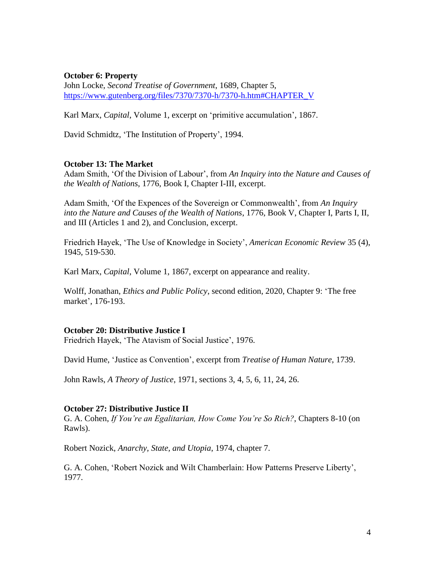### **October 6: Property**

John Locke, *Second Treatise of Government*, 1689, Chapter 5, [https://www.gutenberg.org/files/7370/7370-h/7370-h.htm#CHAPTER\\_V](https://www.gutenberg.org/files/7370/7370-h/7370-h.htm#CHAPTER_V)

Karl Marx, *Capital*, Volume 1, excerpt on 'primitive accumulation', 1867.

David Schmidtz, 'The Institution of Property', 1994.

### **October 13: The Market**

Adam Smith, 'Of the Division of Labour', from *An Inquiry into the Nature and Causes of the Wealth of Nations*, 1776, Book I, Chapter I-III, excerpt.

Adam Smith, 'Of the Expences of the Sovereign or Commonwealth', from *An Inquiry into the Nature and Causes of the Wealth of Nations*, 1776, Book V, Chapter I, Parts I, II, and III (Articles 1 and 2), and Conclusion, excerpt.

Friedrich Hayek, 'The Use of Knowledge in Society', *American Economic Review* 35 (4), 1945, 519-530.

Karl Marx, *Capital*, Volume 1, 1867, excerpt on appearance and reality.

Wolff, Jonathan, *Ethics and Public Policy*, second edition, 2020, Chapter 9: 'The free market', 176-193.

#### **October 20: Distributive Justice I**

Friedrich Hayek, 'The Atavism of Social Justice', 1976.

David Hume, 'Justice as Convention', excerpt from *Treatise of Human Nature*, 1739.

John Rawls, *A Theory of Justice*, 1971, sections 3, 4, 5, 6, 11, 24, 26.

#### **October 27: Distributive Justice II**

G. A. Cohen, *If You're an Egalitarian, How Come You're So Rich?*, Chapters 8-10 (on Rawls).

Robert Nozick, *Anarchy, State, and Utopia*, 1974, chapter 7.

G. A. Cohen, 'Robert Nozick and Wilt Chamberlain: How Patterns Preserve Liberty', 1977.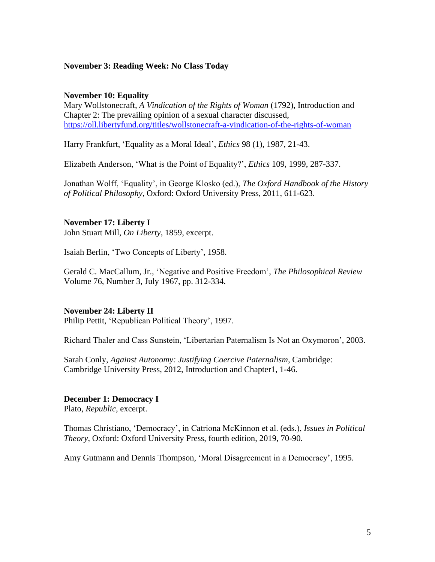### **November 3: Reading Week: No Class Today**

#### **November 10: Equality**

Mary Wollstonecraft, *A Vindication of the Rights of Woman* (1792), Introduction and Chapter 2: The prevailing opinion of a sexual character discussed, <https://oll.libertyfund.org/titles/wollstonecraft-a-vindication-of-the-rights-of-woman>

Harry Frankfurt, 'Equality as a Moral Ideal', *Ethics* 98 (1), 1987, 21-43.

Elizabeth Anderson, 'What is the Point of Equality?', *Ethics* 109, 1999, 287-337.

Jonathan Wolff, 'Equality', in George Klosko (ed.), *The Oxford Handbook of the History of Political Philosophy*, Oxford: Oxford University Press, 2011, 611-623.

#### **November 17: Liberty I**

John Stuart Mill, *On Liberty*, 1859, excerpt.

Isaiah Berlin, 'Two Concepts of Liberty', 1958.

Gerald C. MacCallum, Jr., 'Negative and Positive Freedom', *The Philosophical Review* Volume 76, Number 3, July 1967, pp. 312-334.

#### **November 24: Liberty II**

Philip Pettit, 'Republican Political Theory', 1997.

Richard Thaler and Cass Sunstein, 'Libertarian Paternalism Is Not an Oxymoron', 2003.

Sarah Conly, *Against Autonomy: Justifying Coercive Paternalism*, Cambridge: Cambridge University Press, 2012, Introduction and Chapter1, 1-46.

#### **December 1: Democracy I**

Plato, *Republic*, excerpt.

Thomas Christiano, 'Democracy', in Catriona McKinnon et al. (eds.), *Issues in Political Theory*, Oxford: Oxford University Press, fourth edition, 2019, 70-90.

Amy Gutmann and Dennis Thompson, 'Moral Disagreement in a Democracy', 1995.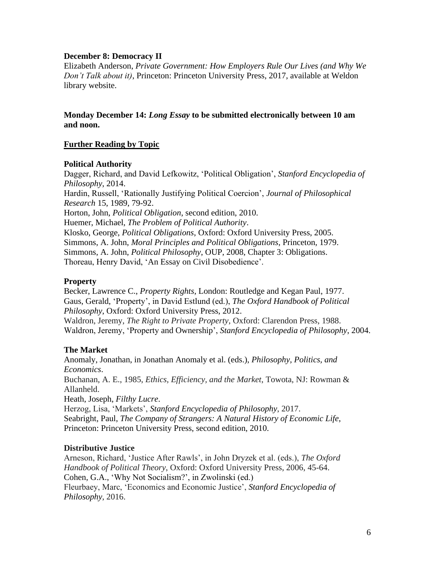## **December 8: Democracy II**

Elizabeth Anderson, *Private Government: How Employers Rule Our Lives (and Why We Don't Talk about it)*, Princeton: Princeton University Press, 2017, available at Weldon library website.

**Monday December 14:** *Long Essay* **to be submitted electronically between 10 am and noon.**

## **Further Reading by Topic**

### **Political Authority**

Dagger, Richard, and David Lefkowitz, 'Political Obligation', *Stanford Encyclopedia of Philosophy*, 2014.

Hardin, Russell, 'Rationally Justifying Political Coercion', *Journal of Philosophical Research* 15, 1989, 79-92.

Horton, John, *Political Obligation*, second edition, 2010.

Huemer, Michael, *The Problem of Political Authority*.

Klosko, George, *Political Obligations*, Oxford: Oxford University Press, 2005. Simmons, A. John, *Moral Principles and Political Obligations*, Princeton, 1979. Simmons, A. John, *Political Philosophy*, OUP, 2008, Chapter 3: Obligations. Thoreau, Henry David, 'An Essay on Civil Disobedience'.

## **Property**

Becker, Lawrence C., *Property Rights*, London: Routledge and Kegan Paul, 1977. Gaus, Gerald, 'Property', in David Estlund (ed.), *The Oxford Handbook of Political Philosophy*, Oxford: Oxford University Press, 2012.

Waldron, Jeremy, *The Right to Private Property*, Oxford: Clarendon Press, 1988. Waldron, Jeremy, 'Property and Ownership', *Stanford Encyclopedia of Philosophy*, 2004.

# **The Market**

Anomaly, Jonathan, in Jonathan Anomaly et al. (eds.), *Philosophy, Politics, and Economics*. Buchanan, A. E., 1985, *Ethics, Efficiency, and the Market*, Towota, NJ: Rowman & Allanheld. Heath, Joseph, *Filthy Lucre*. Herzog, Lisa, 'Markets', *Stanford Encyclopedia of Philosophy*, 2017.

Seabright, Paul, *The Company of Strangers: A Natural History of Economic Life*, Princeton: Princeton University Press, second edition, 2010.

### **Distributive Justice**

Arneson, Richard, 'Justice After Rawls', in John Dryzek et al. (eds.), *The Oxford Handbook of Political Theory*, Oxford: Oxford University Press, 2006, 45-64. Cohen, G.A., 'Why Not Socialism?', in Zwolinski (ed.) Fleurbaey, Marc, 'Economics and Economic Justice', *Stanford Encyclopedia of Philosophy*, 2016.